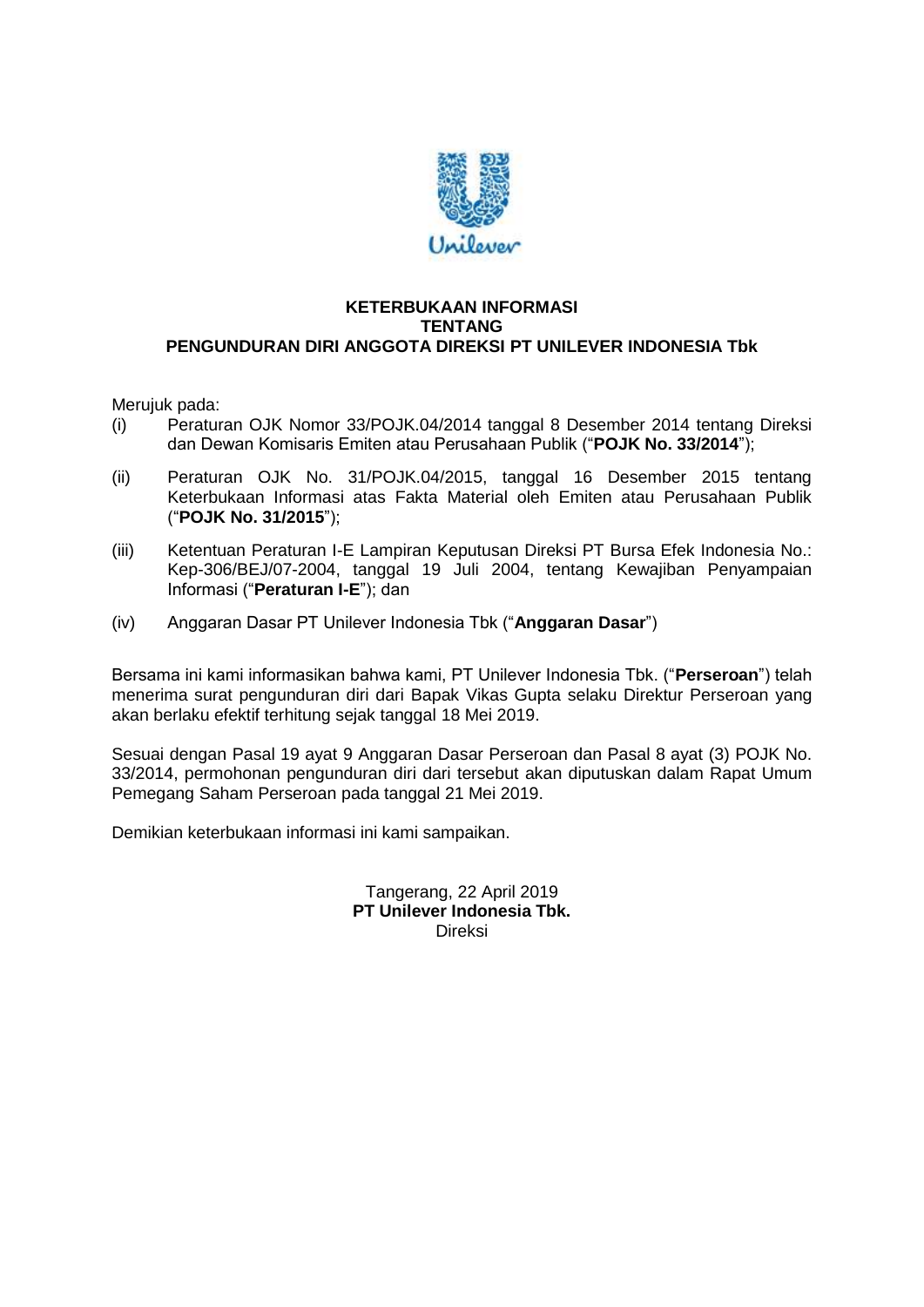

## **KETERBUKAAN INFORMASI TENTANG PENGUNDURAN DIRI ANGGOTA DIREKSI PT UNILEVER INDONESIA Tbk**

Merujuk pada:

- (i) Peraturan OJK Nomor 33/POJK.04/2014 tanggal 8 Desember 2014 tentang Direksi dan Dewan Komisaris Emiten atau Perusahaan Publik ("**POJK No. 33/2014**");
- (ii) Peraturan OJK No. 31/POJK.04/2015, tanggal 16 Desember 2015 tentang Keterbukaan Informasi atas Fakta Material oleh Emiten atau Perusahaan Publik ("**POJK No. 31/2015**");
- (iii) Ketentuan Peraturan I-E Lampiran Keputusan Direksi PT Bursa Efek Indonesia No.: Kep-306/BEJ/07-2004, tanggal 19 Juli 2004, tentang Kewajiban Penyampaian Informasi ("**Peraturan I-E**"); dan
- (iv) Anggaran Dasar PT Unilever Indonesia Tbk ("**Anggaran Dasar**")

Bersama ini kami informasikan bahwa kami, PT Unilever Indonesia Tbk. ("**Perseroan**") telah menerima surat pengunduran diri dari Bapak Vikas Gupta selaku Direktur Perseroan yang akan berlaku efektif terhitung sejak tanggal 18 Mei 2019.

Sesuai dengan Pasal 19 ayat 9 Anggaran Dasar Perseroan dan Pasal 8 ayat (3) POJK No. 33/2014, permohonan pengunduran diri dari tersebut akan diputuskan dalam Rapat Umum Pemegang Saham Perseroan pada tanggal 21 Mei 2019.

Demikian keterbukaan informasi ini kami sampaikan.

Tangerang, 22 April 2019 **PT Unilever Indonesia Tbk.** Direksi